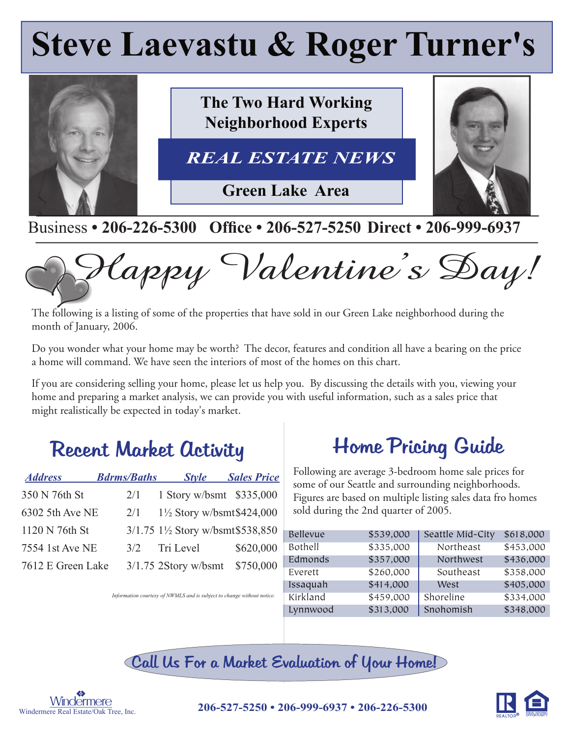# **Steve Laevastu & Roger Turner's**



#### Business • 206-226-5300 Office • 206-527-5250 Direct • 206-999-6937



The following is a listing of some of the properties that have sold in our Green Lake neighborhood during the month of January, 2006.

Do you wonder what your home may be worth? The decor, features and condition all have a bearing on the price a home will command. We have seen the interiors of most of the homes on this chart.

If you are considering selling your home, please let us help you. By discussing the details with you, viewing your home and preparing a market analysis, we can provide you with useful information, such as a sales price that might realistically be expected in today's market.

## Recent Market Activity

| <b>Address</b>    | <b>Bdrms/Baths</b> | <b>Style</b>                                               | <b>Sales Price</b> |
|-------------------|--------------------|------------------------------------------------------------|--------------------|
| 350 N 76th St     | 2/1                | 1 Story w/bsmt \$335,000                                   |                    |
| 6302 5th Ave NE   | 2/1                | $1\frac{1}{2}$ Story w/bsmt\$424,000                       |                    |
| 1120 N 76th St    |                    | 3/1.75 1 <sup>1</sup> / <sub>2</sub> Story w/bsmt\$538,850 |                    |
| 7554 1st Ave NE   | 3/2                | Tri Level                                                  | \$620,000          |
| 7612 E Green Lake |                    | $3/1.75$ 2Story w/bsmt                                     | \$750,000          |

# Home Pricing Guide

Following are average 3-bedroom home sale prices for some of our Seattle and surrounding neighborhoods. Figures are based on multiple listing sales data fro homes sold during the 2nd quarter of 2005.

| Bellevue | \$539,000 | Seattle Mid-City | \$618,000 |
|----------|-----------|------------------|-----------|
| Bothell  | \$335,000 | Northeast        | \$453,000 |
| Edmonds  | \$357,000 | Northwest        | \$436,000 |
| Everett  | \$260,000 | Southeast        | \$358,000 |
| Issaquah | \$414,000 | West             | \$405,000 |
| Kirkland | \$459,000 | Shoreline        | \$334,000 |
| Lynnwood | \$313,000 | Snohomish        | \$348,000 |

*Information courtesy of NWMLS and is subject to change without notice.*

Call Us For a Market Evaluation of Your Home!